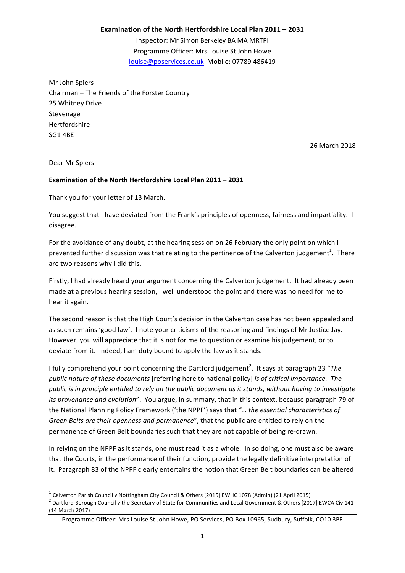Mr John Spiers Chairman – The Friends of the Forster Country 25 Whitney Drive Stevenage Hertfordshire **SG1 4BE** 

26 March 2018

Dear Mr Spiers

 $\overline{a}$ 

## Examination of the North Hertfordshire Local Plan 2011 - 2031

Thank you for your letter of 13 March.

You suggest that I have deviated from the Frank's principles of openness, fairness and impartiality. I disagree.

For the avoidance of any doubt, at the hearing session on 26 February the only point on which I prevented further discussion was that relating to the pertinence of the Calverton judgement<sup>1</sup>. There are two reasons why I did this.

Firstly, I had already heard your argument concerning the Calverton judgement. It had already been made at a previous hearing session, I well understood the point and there was no need for me to hear it again.

The second reason is that the High Court's decision in the Calverton case has not been appealed and as such remains 'good law'. I note your criticisms of the reasoning and findings of Mr Justice Jay. However, you will appreciate that it is not for me to question or examine his judgement, or to deviate from it. Indeed, I am duty bound to apply the law as it stands.

I fully comprehend your point concerning the Dartford judgement<sup>2</sup>. It says at paragraph 23 "The *public nature of these documents* [referring here to national policy] *is of critical importance.* The *public* is in principle entitled to rely on the public document as it stands, without having to investigate *its provenance and evolution*". You argue, in summary, that in this context, because paragraph 79 of the National Planning Policy Framework ('the NPPF') says that "... the essential characteristics of Green Belts are their openness and permanence", that the public are entitled to rely on the permanence of Green Belt boundaries such that they are not capable of being re-drawn.

In relying on the NPPF as it stands, one must read it as a whole. In so doing, one must also be aware that the Courts, in the performance of their function, provide the legally definitive interpretation of it. Paragraph 83 of the NPPF clearly entertains the notion that Green Belt boundaries can be altered

 $1$  Calverton Parish Council v Nottingham City Council & Others [2015] EWHC 1078 (Admin) (21 April 2015)  $^2$  Dartford Borough Council v the Secretary of State for Communities and Local Government & Others [2017] EWCA Civ 141 (14 March 2017)

Programme Officer: Mrs Louise St John Howe, PO Services, PO Box 10965, Sudbury, Suffolk, CO10 3BF